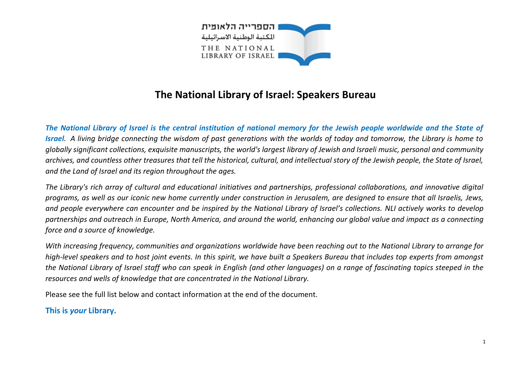

## **The National Library of Israel: Speakers Bureau**

*The National Library of Israel is the central institution of national memory for the Jewish people worldwide and the State of Israel. A living bridge connecting the wisdom of past generations with the worlds of today and tomorrow, the Library is home to globally significant collections, exquisite manuscripts, the world's largest library of Jewish and Israeli music, personal and community archives, and countless other treasures that tell the historical, cultural, and intellectual story of the Jewish people, the State of Israel, and the Land of Israel and its region throughout the ages.*

*The Library's rich array of cultural and educational initiatives and partnerships, professional collaborations, and innovative digital programs, as well as our iconic new home currently under construction in Jerusalem, are designed to ensure that all Israelis, Jews, and people everywhere can encounter and be inspired by the National Library of Israel's collections. NLI actively works to develop partnerships and outreach in Europe, North America, and around the world, enhancing our global value and impact as a connecting force and a source of knowledge.*

*With increasing frequency, communities and organizations worldwide have been reaching out to the National Library to arrange for high-level speakers and to host joint events. In this spirit, we have built a Speakers Bureau that includes top experts from amongst the National Library of Israel staff who can speak in English (and other languages) on a range of fascinating topics steeped in the resources and wells of knowledge that are concentrated in the National Library.*

Please see the full list below and contact information at the end of the document.

**This is** *your* **Library.**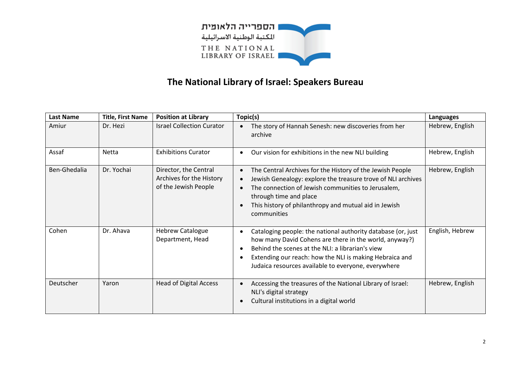

## **The National Library of Israel: Speakers Bureau**

| <b>Last Name</b> | <b>Title, First Name</b> | <b>Position at Library</b>                                                | Topic(s)                                                                                                                                                                                                                                                                                                                 | Languages       |
|------------------|--------------------------|---------------------------------------------------------------------------|--------------------------------------------------------------------------------------------------------------------------------------------------------------------------------------------------------------------------------------------------------------------------------------------------------------------------|-----------------|
| Amiur            | Dr. Hezi                 | <b>Israel Collection Curator</b>                                          | The story of Hannah Senesh: new discoveries from her<br>archive                                                                                                                                                                                                                                                          | Hebrew, English |
| Assaf            | <b>Netta</b>             | <b>Exhibitions Curator</b>                                                | Our vision for exhibitions in the new NLI building                                                                                                                                                                                                                                                                       | Hebrew, English |
| Ben-Ghedalia     | Dr. Yochai               | Director, the Central<br>Archives for the History<br>of the Jewish People | The Central Archives for the History of the Jewish People<br>$\bullet$<br>Jewish Genealogy: explore the treasure trove of NLI archives<br>$\bullet$<br>The connection of Jewish communities to Jerusalem,<br>$\bullet$<br>through time and place<br>This history of philanthropy and mutual aid in Jewish<br>communities | Hebrew, English |
| Cohen            | Dr. Ahava                | <b>Hebrew Catalogue</b><br>Department, Head                               | Cataloging people: the national authority database (or, just<br>$\bullet$<br>how many David Cohens are there in the world, anyway?)<br>Behind the scenes at the NLI: a librarian's view<br>$\bullet$<br>Extending our reach: how the NLI is making Hebraica and<br>Judaica resources available to everyone, everywhere   | English, Hebrew |
| Deutscher        | Yaron                    | <b>Head of Digital Access</b>                                             | Accessing the treasures of the National Library of Israel:<br>$\bullet$<br>NLI's digital strategy<br>Cultural institutions in a digital world                                                                                                                                                                            | Hebrew, English |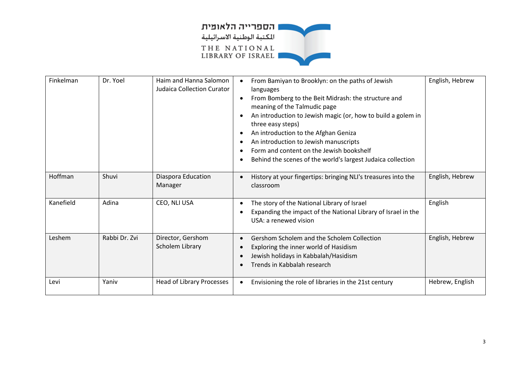

| Finkelman | Dr. Yoel      | Haim and Hanna Salomon<br><b>Judaica Collection Curator</b> | From Bamiyan to Brooklyn: on the paths of Jewish<br>languages<br>From Bomberg to the Beit Midrash: the structure and<br>$\bullet$<br>meaning of the Talmudic page<br>An introduction to Jewish magic (or, how to build a golem in<br>$\bullet$<br>three easy steps)<br>An introduction to the Afghan Geniza<br>$\bullet$<br>An introduction to Jewish manuscripts<br>Form and content on the Jewish bookshelf<br>Behind the scenes of the world's largest Judaica collection<br>$\bullet$ | English, Hebrew |
|-----------|---------------|-------------------------------------------------------------|-------------------------------------------------------------------------------------------------------------------------------------------------------------------------------------------------------------------------------------------------------------------------------------------------------------------------------------------------------------------------------------------------------------------------------------------------------------------------------------------|-----------------|
| Hoffman   | Shuvi         | Diaspora Education<br>Manager                               | History at your fingertips: bringing NLI's treasures into the<br>$\bullet$<br>classroom                                                                                                                                                                                                                                                                                                                                                                                                   | English, Hebrew |
| Kanefield | Adina         | CEO, NLI USA                                                | The story of the National Library of Israel<br>$\bullet$<br>Expanding the impact of the National Library of Israel in the<br>USA: a renewed vision                                                                                                                                                                                                                                                                                                                                        | English         |
| Leshem    | Rabbi Dr. Zvi | Director, Gershom<br>Scholem Library                        | Gershom Scholem and the Scholem Collection<br>$\bullet$<br>Exploring the inner world of Hasidism<br>$\bullet$<br>Jewish holidays in Kabbalah/Hasidism<br>Trends in Kabbalah research                                                                                                                                                                                                                                                                                                      | English, Hebrew |
| Levi      | Yaniv         | Head of Library Processes                                   | Envisioning the role of libraries in the 21st century<br>$\bullet$                                                                                                                                                                                                                                                                                                                                                                                                                        | Hebrew, English |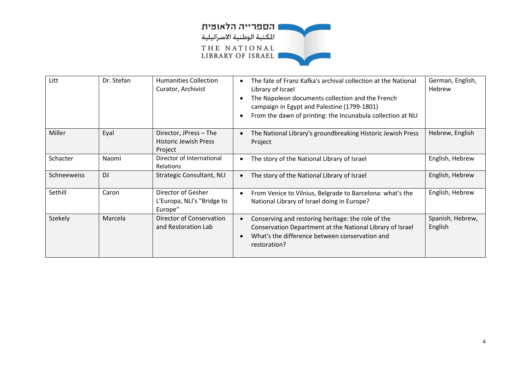

| Litt        | Dr. Stefan | <b>Humanities Collection</b><br>Curator, Archivist                | The fate of Franz Kafka's archival collection at the National<br>$\bullet$<br>Library of Israel<br>The Napoleon documents collection and the French<br>campaign in Egypt and Palestine (1799-1801)<br>From the dawn of printing: the Incunabula collection at NLI<br>$\bullet$ | German, English,<br>Hebrew  |
|-------------|------------|-------------------------------------------------------------------|--------------------------------------------------------------------------------------------------------------------------------------------------------------------------------------------------------------------------------------------------------------------------------|-----------------------------|
| Miller      | Eyal       | Director, JPress - The<br><b>Historic Jewish Press</b><br>Project | The National Library's groundbreaking Historic Jewish Press<br>$\bullet$<br>Project                                                                                                                                                                                            | Hebrew, English             |
| Schacter    | Naomi      | Director of International<br><b>Relations</b>                     | The story of the National Library of Israel<br>٠                                                                                                                                                                                                                               | English, Hebrew             |
| Schneeweiss | DJ         | Strategic Consultant, NLI                                         | The story of the National Library of Israel                                                                                                                                                                                                                                    | English, Hebrew             |
| Sethill     | Caron      | Director of Gesher<br>L'Europa, NLI's "Bridge to<br>Europe"       | From Venice to Vilnius, Belgrade to Barcelona: what's the<br>$\bullet$<br>National Library of Israel doing in Europe?                                                                                                                                                          | English, Hebrew             |
| Szekely     | Marcela    | Director of Conservation<br>and Restoration Lab                   | Conserving and restoring heritage: the role of the<br>Conservation Department at the National Library of Israel<br>What's the difference between conservation and<br>$\bullet$<br>restoration?                                                                                 | Spanish, Hebrew,<br>English |